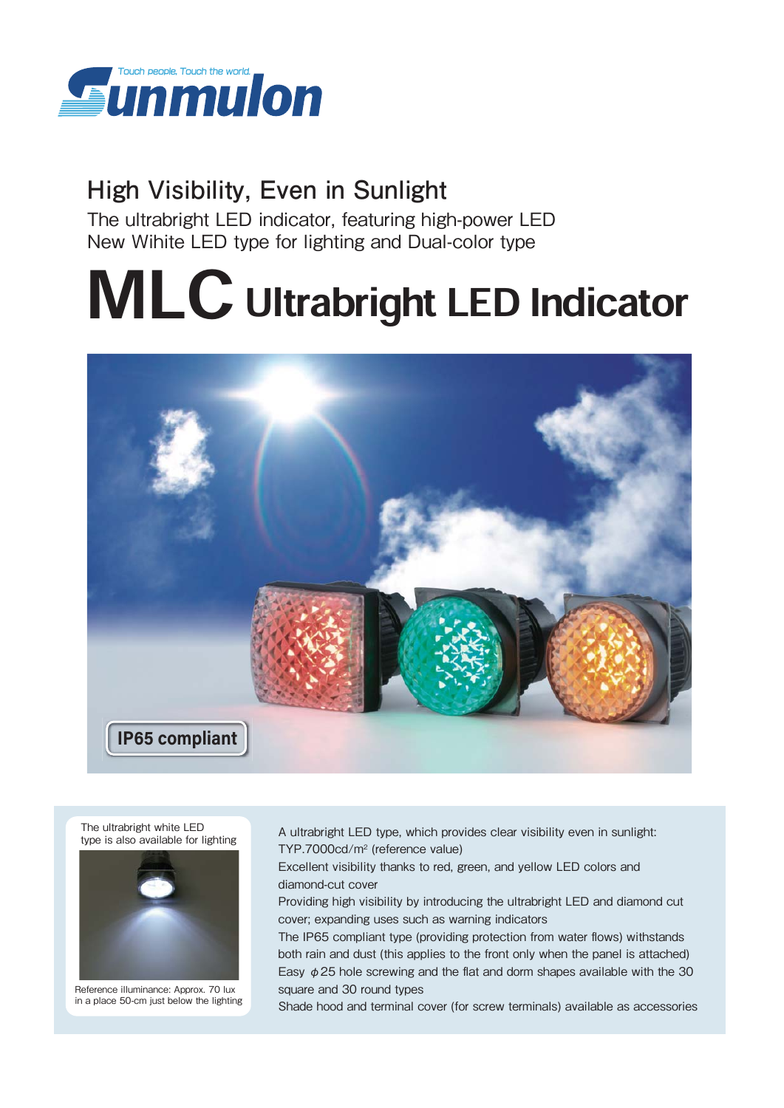

# **High Visibility, Even in Sunlight**

The ultrabright LED indicator, featuring high-power LED New Wihite LED type for lighting and Dual-color type

# MLC Ultrabright LED Indicator



The ultrabright white LED type is also available for lighting



 Reference illuminance: Approx. 70 lux in a place 50-cm just below the lighting A ultrabright LED type, which provides clear visibility even in sunlight: TYP.7000cd/m2 (reference value)

Excellent visibility thanks to red, green, and yellow LED colors and diamond-cut cover

Providing high visibility by introducing the ultrabright LED and diamond cut cover; expanding uses such as warning indicators

The IP65 compliant type (providing protection from water flows) withstands both rain and dust (this applies to the front only when the panel is attached) Easy  $\phi$  25 hole screwing and the flat and dorm shapes available with the 30 square and 30 round types

Shade hood and terminal cover (for screw terminals) available as accessories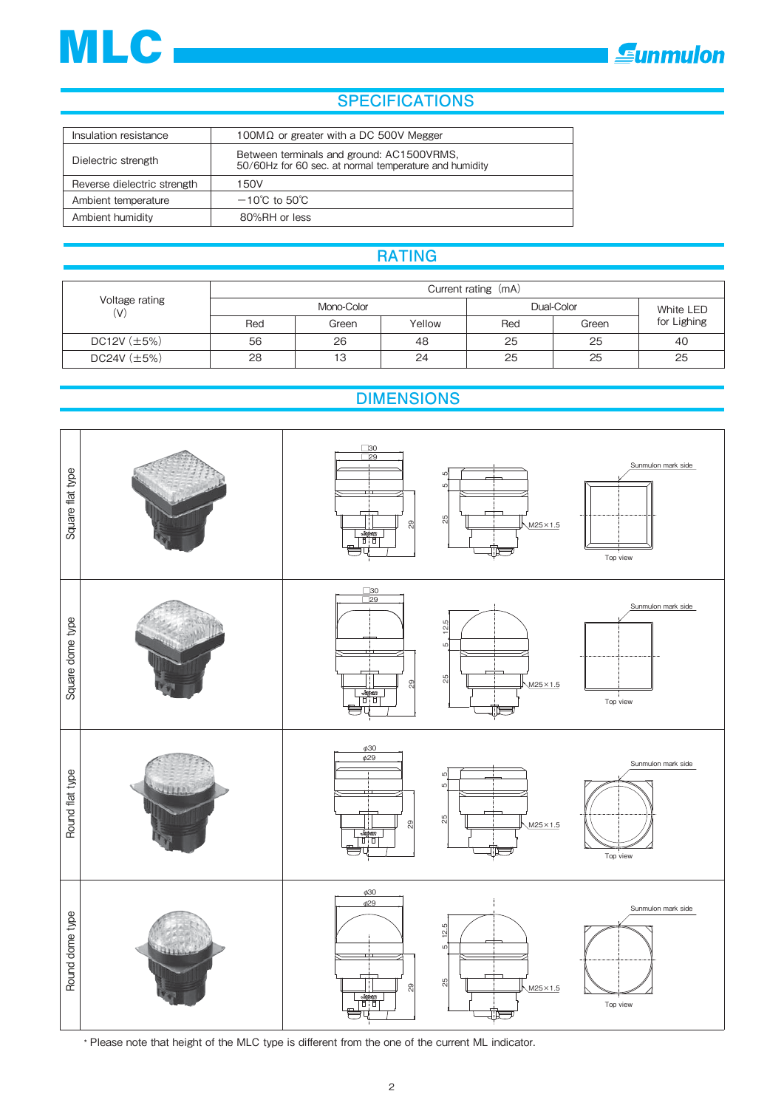



## **SPECIFICATIONS**

| Insulation resistance       | 100M $\Omega$ or greater with a DC 500V Megger                                                      |
|-----------------------------|-----------------------------------------------------------------------------------------------------|
| Dielectric strength         | Between terminals and ground: AC1500VRMS,<br>50/60Hz for 60 sec. at normal temperature and humidity |
| Reverse dielectric strength | 150V                                                                                                |
| Ambient temperature         | $-10^{\circ}$ C to 50 $^{\circ}$ C                                                                  |
| Ambient humidity            | 80%RH or less                                                                                       |

## **RATING**

| Voltage rating<br>(V) | Current rating (mA) |            |        |            |           |             |  |  |
|-----------------------|---------------------|------------|--------|------------|-----------|-------------|--|--|
|                       |                     | Mono-Color |        | Dual-Color | White LED |             |  |  |
|                       | Red                 | Green      | Yellow | Red        | Green     | for Lighing |  |  |
| DC12V $(\pm 5\%)$     | 56                  | 26         | 48     | 25         | 25        | 40          |  |  |
| $DC24V (\pm 5%)$      | 28                  | 13         | 24     | 25         | 25        | 25          |  |  |

## **DIMENSIONS**



\* Please note that height of the MLC type is different from the one of the current ML indicator.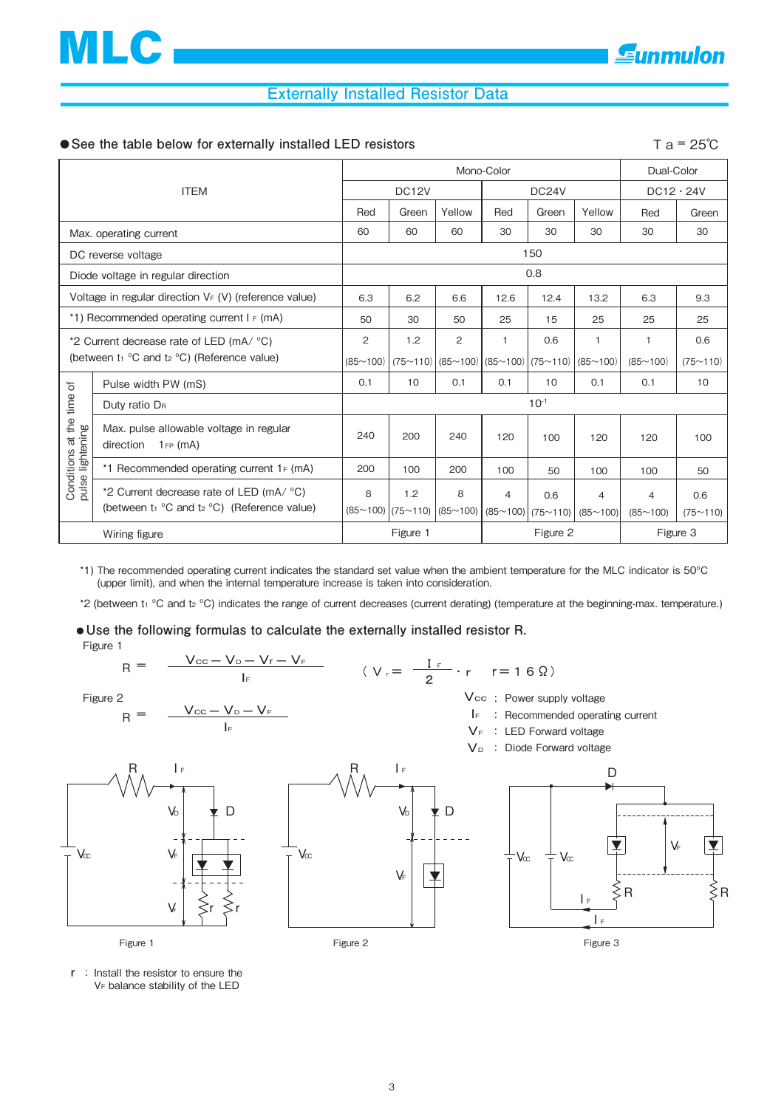### **Externally Installed Resistor Data**

#### ■ See the table below for externally installed LED resistors **T** a = 25℃

| <b>ITEM</b>                                                                                   |                                                                                               | Mono-Color        |                            |               |                                               |       |                                       | Dual-Color                 |                 |  |
|-----------------------------------------------------------------------------------------------|-----------------------------------------------------------------------------------------------|-------------------|----------------------------|---------------|-----------------------------------------------|-------|---------------------------------------|----------------------------|-----------------|--|
|                                                                                               |                                                                                               | DC <sub>12V</sub> |                            |               | DC24V                                         |       |                                       | $DC12 \cdot 24V$           |                 |  |
|                                                                                               |                                                                                               | Red               | Green                      | Yellow        | Red                                           | Green | Yellow                                | Red                        | Green           |  |
| Max. operating current                                                                        |                                                                                               | 60                | 60                         | 60            | 30                                            | 30    | 30                                    | 30                         | 30              |  |
| DC reverse voltage                                                                            |                                                                                               | 150               |                            |               |                                               |       |                                       |                            |                 |  |
| Diode voltage in regular direction                                                            |                                                                                               | 0.8               |                            |               |                                               |       |                                       |                            |                 |  |
| Voltage in regular direction $V_F(V)$ (reference value)                                       |                                                                                               | 6.3               | 6.2                        | 6.6           | 12.6                                          | 12.4  | 13.2                                  | 6.3                        | 9.3             |  |
| *1) Recommended operating current $I_F$ (mA)                                                  |                                                                                               | 50                | 30                         | 50            | 25                                            | 15    | 25                                    | 25                         | 25              |  |
| *2 Current decrease rate of LED (mA/ °C)<br>(between $t_1$ °C and $t_2$ °C) (Reference value) |                                                                                               | 2                 | 1.2                        | 2             |                                               | 0.6   | 1                                     | $\mathbf{1}$               | 0.6             |  |
|                                                                                               |                                                                                               | (85~100)          | (75~110)                   |               | $ (85 \sim 100) (85 \sim 100) (75 \sim 110) $ |       | (85~100)                              | (85~100)                   | (75~110)        |  |
| Ъ                                                                                             | Pulse width PW (mS)                                                                           | 0.1               | 10                         | 0.1           | 0.1                                           | 10    | 0.1                                   | 0.1                        | 10              |  |
| Conditions at the time<br>pulse lightening                                                    | Duty ratio D <sub>R</sub>                                                                     | $10^{-1}$         |                            |               |                                               |       |                                       |                            |                 |  |
|                                                                                               | Max. pulse allowable voltage in regular<br>direction<br>$1_F$ (mA)                            | 240               | 200                        | 240           | 120                                           | 100   | 120                                   | 120                        | 100             |  |
|                                                                                               | *1 Recommended operating current $1_F$ (mA)                                                   | 200               | 100                        | 200           | 100                                           | 50    | 100                                   | 100                        | 50              |  |
|                                                                                               | *2 Current decrease rate of LED (mA/ °C)<br>(between $t_1$ °C and $t_2$ °C) (Reference value) | 8                 | 1.2<br>$(85~100)$ (75~110) | 8<br>(85~100) | $\overline{4}$                                | 0.6   | 4<br>$(85~100)$ (75 ~ 110) (85 ~ 100) | $\overline{4}$<br>(85~100) | 0.6<br>(75~110) |  |
| Wiring figure                                                                                 |                                                                                               | Figure 1          |                            |               | Figure 2                                      |       |                                       | Figure 3                   |                 |  |

\*1) The recommended operating current indicates the standard set value when the ambient temperature for the MLC indicator is 50ºC (upper limit), and when the internal temperature increase is taken into consideration.

\*2 (between t1 °C and t2 °C) indicates the range of current decreases (current derating) (temperature at the beginning-max. temperature.)

**Use the following formulas to calculate the externally installed resistor R.** Figure 1



r Install the resistor to ensure the VF balance stability of the LED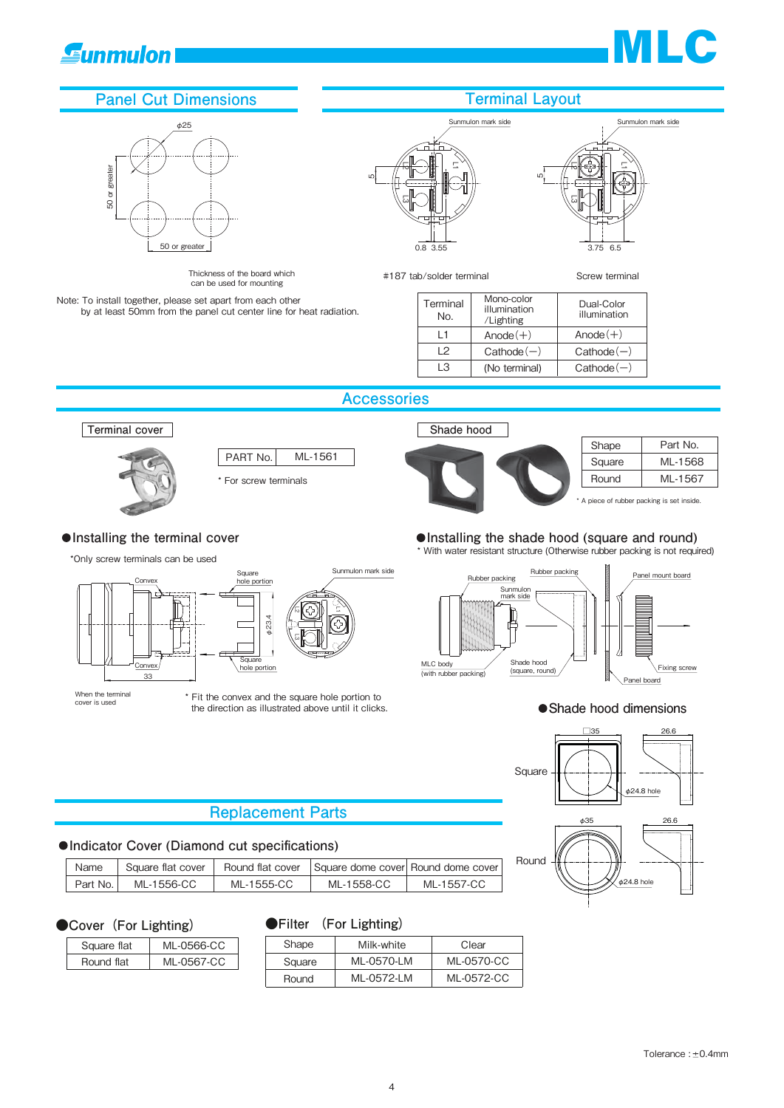# **Gunmulon**



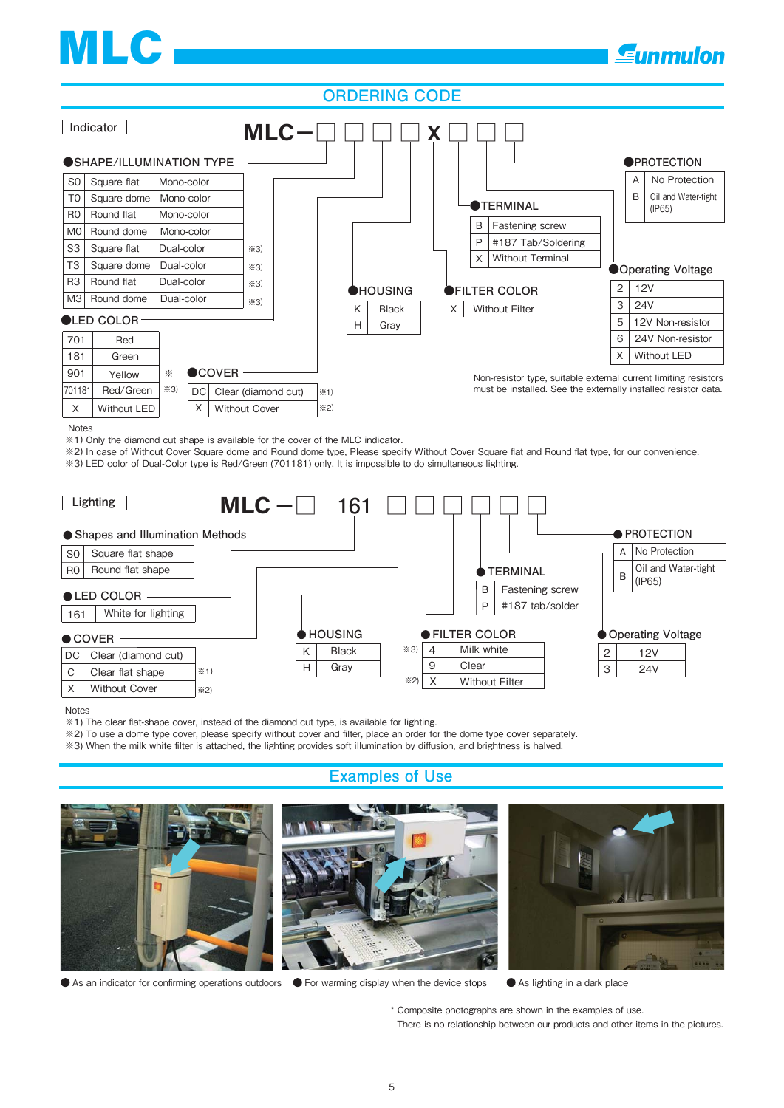# MLC

### **ORDERING CODE**



Notes

※1) Only the diamond cut shape is available for the cover of the MLC indicator.

※2) In case of Without Cover Square dome and Round dome type, Please specify Without Cover Square flat and Round flat type, for our convenience. ※3) LED color of Dual-Color type is Red/Green (701181) only. It is impossible to do simultaneous lighting.



Notes

※1) The clear flat-shape cover, instead of the diamond cut type, is available for lighting.

※2) To use a dome type cover, please specify without cover and filter, place an order for the dome type cover separately.

※3) When the milk white filter is attached, the lighting provides soft illumination by diffusion, and brightness is halved.





● As an indicator for confirming operations outdoors ● For warming display when the device stops ● As lighting in a dark place

\* Composite photographs are shown in the examples of use. There is no relationship between our products and other items in the pictures.